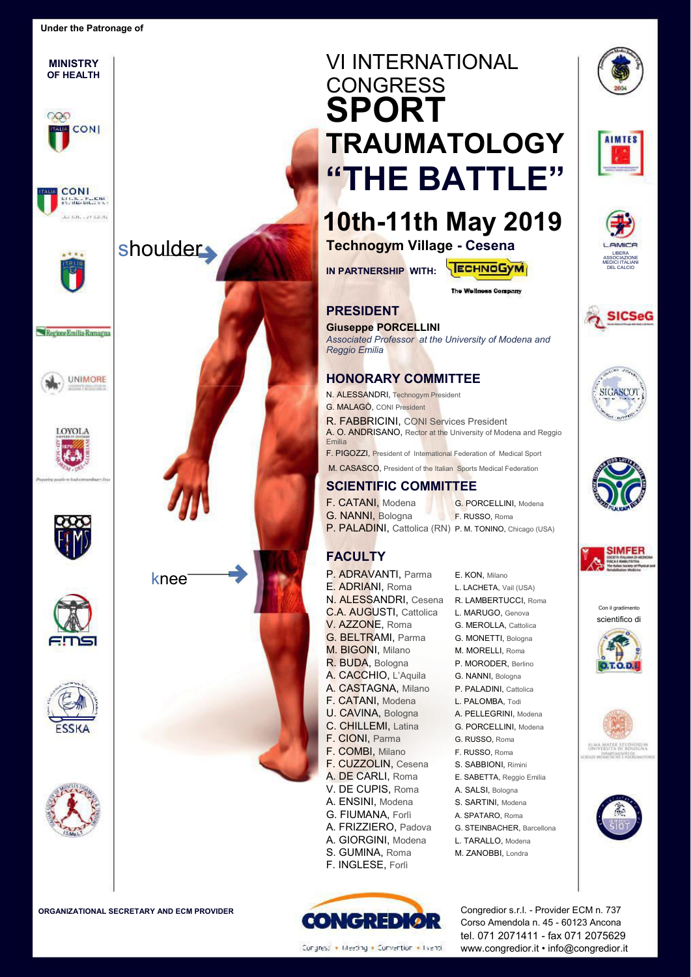**MINISTRY OF HEALTH** 

**EUA** CONI

CONI **MILIOL PERCHA** .<br>La font - un sulvia

 $\circ$ 





**Technogym Village - Cesena** 

**IN PARTNERSHIP WITH:** 



The Wellness Company

#### **PRESIDENT**

*Reggio Emilia* 

Emilia

#### **Giuseppe PORCELLINI**













Con il gradimento scientifico di





ALMA MATER STUDIORUM



#### F. PIGOZZI, President of International Federation of Medical Sport M. CASASCO, President of the Italian Sports Medical Federation

A. O. ANDRISANO, Rector at the University of Modena and Reggio

*Associated Professor at the University of Modena and* 

#### **SCIENTIFIC COMMITTEE**

**HONORARY COMMITTEE**  N. ALESSANDRI, Technogym President G. MALAGÒ, CONI President

R. FABBRICINI, CONI Services President

F. CATANI, Modena G. PORCELLINI, Modena G. NANNI, Bologna F. RUSSO, Roma P. PALADINI, Cattolica (RN) P. M. TONINO, Chicago (USA)

### **FACULTY**

- P. ADRAVANTI, Parma E. KON, Milano E. ADRIANI, Roma L. LACHETA, Vail (USA) N. ALESSANDRI, Cesena R. LAMBERTUCCI, Roma C.A. AUGUSTI, Cattolica L. MARUGO, Genova V. AZZONE, Roma<br>
G. MEROLLA, Cattolica G. BELTRAMI, Parma G. MONETTI, Bologna M. BIGONI, Milano M. MORELLI, Roma R. BUDA, Bologna P. MORODER, Berlino A. CACCHIO, L'Aquila G. NANNI, Bologna A. CASTAGNA, Milano P. PALADINI, Cattolica F. CATANI, Modena L. PALOMBA, Todi U. CAVINA, Bologna A. PELLEGRINI, Modena C. CHILLEMI, Latina G. PORCELLINI, Modena F. CIONI, Parma G. RUSSO, Roma F. COMBI, Milano F. RUSSO, Roma F. CUZZOLIN, Cesena S. SABBIONI, Rimini A. DE CARLI, Roma<br>
E. SABETTA, Reggio Emilia V. DE CUPIS, Roma A. SALSI, Bologna A. ENSINI, Modena S. SARTINI, Modena G. FIUMANA, Forlì A. SPATARO, Roma A. FRIZZIERO, Padova G. STEINBACHER, Barcellona A. GIORGINI, Modena L. TARALLO, Modena S. GUMINA, Roma M. ZANOBBI, Londra
- -
	-
	-
	-
	-
	-
	-
	-
	-
	-
	-
	-
	-
	-
	-
	-
	-
	-
	-
	-
	-



Congress' + Meeting + Convention + Eventi

Corso Amendola n. 45 - 60123 Ancona tel. 071 2071411 - fax 071 2075629 www.congredior.it • info@congredior.it











shoulder



**OVOLA** 

Regione Emilia-Romagna





F. INGLESE, Forlì









- 
- 
- 
- 
- 
- 
- 
- 
- 
- 
- 
- 
- 
- 
-